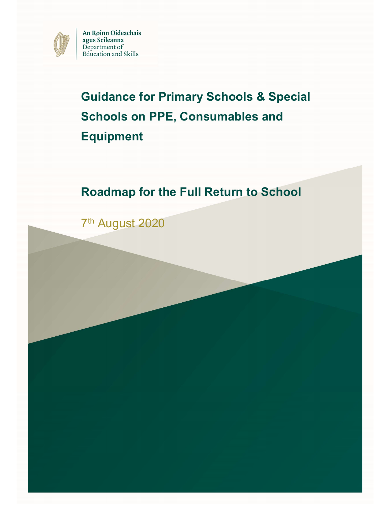

An Roinn Oideachais agus Scileanna Department of **Education** and Skills

# Guidance for Primary Schools & Special Schools on PPE, Consumables and Equipment

# Roadmap for the Full Return to School

7 th August 2020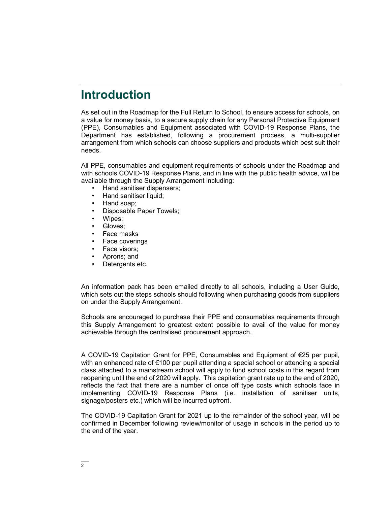## Introduction

As set out in the Roadmap for the Full Return to School, to ensure access for schools, on a value for money basis, to a secure supply chain for any Personal Protective Equipment (PPE), Consumables and Equipment associated with COVID-19 Response Plans, the Department has established, following a procurement process, a multi-supplier arrangement from which schools can choose suppliers and products which best suit their needs.

All PPE, consumables and equipment requirements of schools under the Roadmap and with schools COVID-19 Response Plans, and in line with the public health advice, will be available through the Supply Arrangement including:

- Hand sanitiser dispensers;
- Hand sanitiser liquid;
- Hand soap;
- Disposable Paper Towels;
- Wipes:
- Gloves:
- Face masks
- Face coverings
- Face visors;
- Aprons; and
- Detergents etc.

An information pack has been emailed directly to all schools, including a User Guide, which sets out the steps schools should following when purchasing goods from suppliers on under the Supply Arrangement.

Schools are encouraged to purchase their PPE and consumables requirements through this Supply Arrangement to greatest extent possible to avail of the value for money achievable through the centralised procurement approach.

A COVID-19 Capitation Grant for PPE, Consumables and Equipment of €25 per pupil, with an enhanced rate of €100 per pupil attending a special school or attending a special class attached to a mainstream school will apply to fund school costs in this regard from reopening until the end of 2020 will apply. This capitation grant rate up to the end of 2020, reflects the fact that there are a number of once off type costs which schools face in implementing COVID-19 Response Plans (i.e. installation of sanitiser units, signage/posters etc.) which will be incurred upfront.

The COVID-19 Capitation Grant for 2021 up to the remainder of the school year, will be confirmed in December following review/monitor of usage in schools in the period up to the end of the year.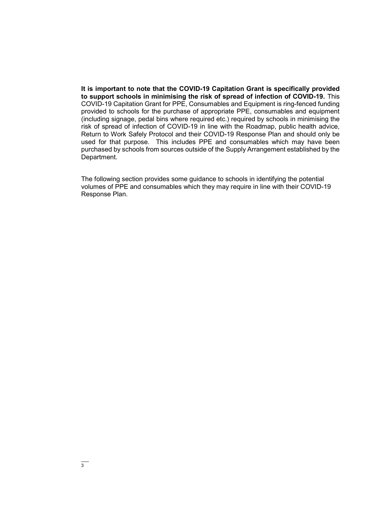It is important to note that the COVID-19 Capitation Grant is specifically provided to support schools in minimising the risk of spread of infection of COVID-19. This COVID-19 Capitation Grant for PPE, Consumables and Equipment is ring-fenced funding provided to schools for the purchase of appropriate PPE, consumables and equipment (including signage, pedal bins where required etc.) required by schools in minimising the risk of spread of infection of COVID-19 in line with the Roadmap, public health advice, Return to Work Safely Protocol and their COVID-19 Response Plan and should only be used for that purpose. This includes PPE and consumables which may have been purchased by schools from sources outside of the Supply Arrangement established by the Department.

The following section provides some guidance to schools in identifying the potential volumes of PPE and consumables which they may require in line with their COVID-19 Response Plan.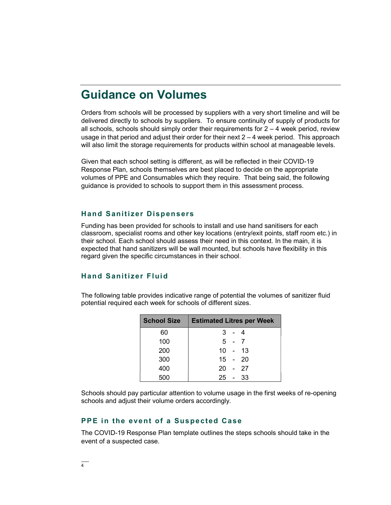### Guidance on Volumes

Orders from schools will be processed by suppliers with a very short timeline and will be delivered directly to schools by suppliers. To ensure continuity of supply of products for all schools, schools should simply order their requirements for  $2 - 4$  week period, review usage in that period and adjust their order for their next  $2 - 4$  week period. This approach will also limit the storage requirements for products within school at manageable levels.

Given that each school setting is different, as will be reflected in their COVID-19 Response Plan, schools themselves are best placed to decide on the appropriate volumes of PPE and Consumables which they require. That being said, the following guidance is provided to schools to support them in this assessment process.

#### **Hand Sanitizer Dispensers**

Funding has been provided for schools to install and use hand sanitisers for each classroom, specialist rooms and other key locations (entry/exit points, staff room etc.) in their school. Each school should assess their need in this context. In the main, it is expected that hand sanitizers will be wall mounted, but schools have flexibility in this regard given the specific circumstances in their school.

#### Hand Sanitizer Fluid

The following table provides indicative range of potential the volumes of sanitizer fluid potential required each week for schools of different sizes.

| <b>School Size</b> | <b>Estimated Litres per Week</b> |         |           |
|--------------------|----------------------------------|---------|-----------|
| 60                 |                                  | 3 - 4   |           |
| 100                |                                  | $5 - 7$ |           |
| 200                |                                  |         | $10 - 13$ |
| 300                |                                  |         | $15 - 20$ |
| 400                |                                  |         | 20 - 27   |
| 500                |                                  |         | $25 - 33$ |

Schools should pay particular attention to volume usage in the first weeks of re-opening schools and adjust their volume orders accordingly.

#### PPE in the event of a Suspected Case

The COVID-19 Response Plan template outlines the steps schools should take in the event of a suspected case.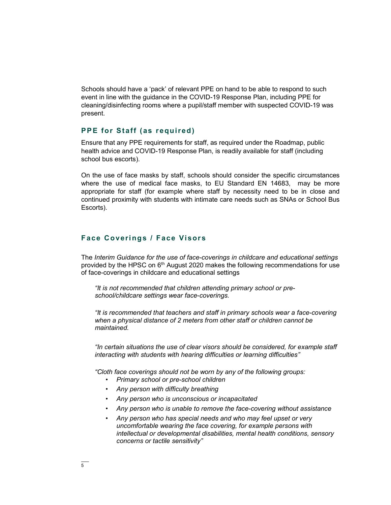Schools should have a 'pack' of relevant PPE on hand to be able to respond to such event in line with the guidance in the COVID-19 Response Plan, including PPE for cleaning/disinfecting rooms where a pupil/staff member with suspected COVID-19 was present.

#### PPE for Staff (as required)

Ensure that any PPE requirements for staff, as required under the Roadmap, public health advice and COVID-19 Response Plan, is readily available for staff (including school bus escorts).

On the use of face masks by staff, schools should consider the specific circumstances where the use of medical face masks, to EU Standard EN 14683, may be more appropriate for staff (for example where staff by necessity need to be in close and continued proximity with students with intimate care needs such as SNAs or School Bus Escorts).

#### Face Coverings / Face Visors

The Interim Guidance for the use of face-coverings in childcare and educational settings provided by the HPSC on  $6<sup>th</sup>$  August 2020 makes the following recommendations for use of face-coverings in childcare and educational settings

"It is not recommended that children attending primary school or preschool/childcare settings wear face-coverings.

"It is recommended that teachers and staff in primary schools wear a face-covering when a physical distance of 2 meters from other staff or children cannot be maintained.

"In certain situations the use of clear visors should be considered, for example staff interacting with students with hearing difficulties or learning difficulties"

"Cloth face coverings should not be worn by any of the following groups:

- Primary school or pre-school children
- Any person with difficulty breathing
- Any person who is unconscious or incapacitated
- Any person who is unable to remove the face-covering without assistance
- Any person who has special needs and who may feel upset or very uncomfortable wearing the face covering, for example persons with intellectual or developmental disabilities, mental health conditions, sensory concerns or tactile sensitivity"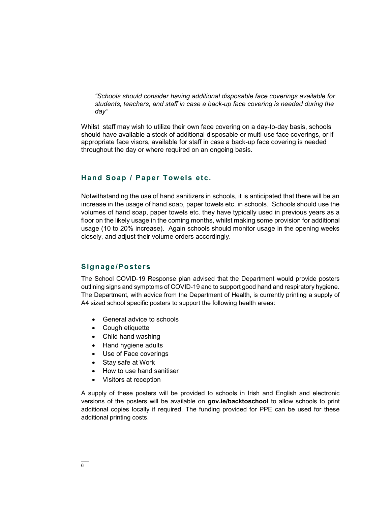"Schools should consider having additional disposable face coverings available for students, teachers, and staff in case a back-up face covering is needed during the day"

Whilst staff may wish to utilize their own face covering on a day-to-day basis, schools should have available a stock of additional disposable or multi-use face coverings, or if appropriate face visors, available for staff in case a back-up face covering is needed throughout the day or where required on an ongoing basis.

#### Hand Soap / Paper Towels etc.

Notwithstanding the use of hand sanitizers in schools, it is anticipated that there will be an increase in the usage of hand soap, paper towels etc. in schools. Schools should use the volumes of hand soap, paper towels etc. they have typically used in previous years as a floor on the likely usage in the coming months, whilst making some provision for additional usage (10 to 20% increase). Again schools should monitor usage in the opening weeks closely, and adjust their volume orders accordingly.

#### Signage/Posters

The School COVID-19 Response plan advised that the Department would provide posters outlining signs and symptoms of COVID-19 and to support good hand and respiratory hygiene. The Department, with advice from the Department of Health, is currently printing a supply of A4 sized school specific posters to support the following health areas:

- General advice to schools
- Cough etiquette
- Child hand washing
- Hand hygiene adults
- Use of Face coverings
- Stay safe at Work
- How to use hand sanitiser
- Visitors at reception

A supply of these posters will be provided to schools in Irish and English and electronic versions of the posters will be available on gov.ie/backtoschool to allow schools to print additional copies locally if required. The funding provided for PPE can be used for these additional printing costs.